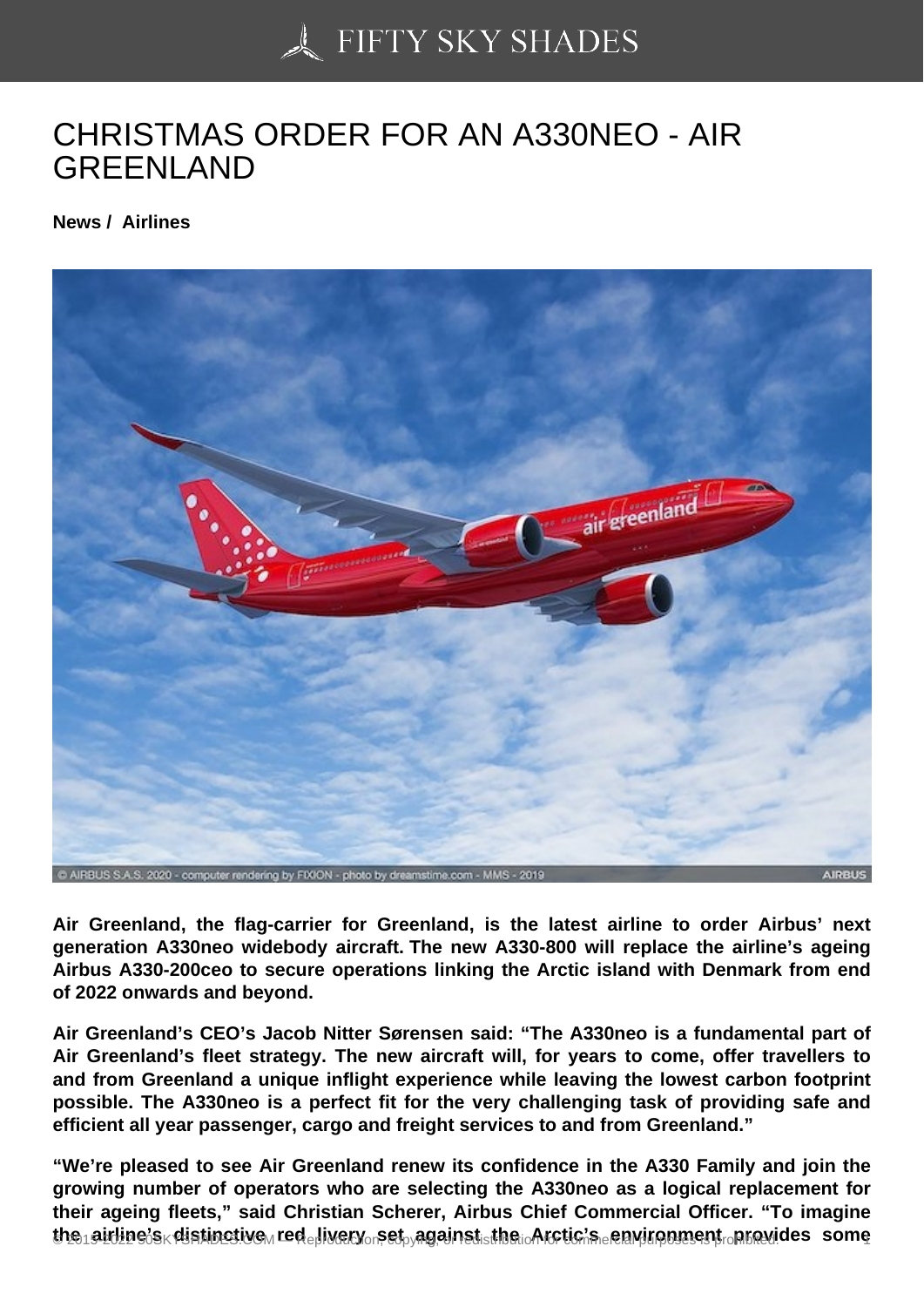## [CHRISTMAS ORDER](https://50skyshades.com) FOR AN A330NEO - AIR GREENLAND

News / Airlines

Air Greenland, the flag-carrier for Greenland, is the latest airline to order Airbus' next generation A330neo widebody aircraft. The new A330-800 will replace the airline's ageing Airbus A330-200ceo to secure operations linking the Arctic island with Denmark from end of 2022 onwards and beyond.

Air Greenland's CEO's Jacob Nitter Sørensen said: "The A330neo is a fundamental part of Air Greenland's fleet strategy. The new aircraft will, for years to come, offer travellers to and from Greenland a unique inflight experience while leaving the lowest carbon footprint possible. The A330neo is a perfect fit for the very challenging task of providing safe and efficient all year passenger, cargo and freight services to and from Greenland."

"We're pleased to see Air Greenland renew its confidence in the A330 Family and join the growing number of operators who are selecting the A330neo as a logical replacement for their ageing fleets," said Christian Scherer, Airbus Chief Commercial Officer. "To imagine the airline's distinctive and livery set against the structic's environment provides is one